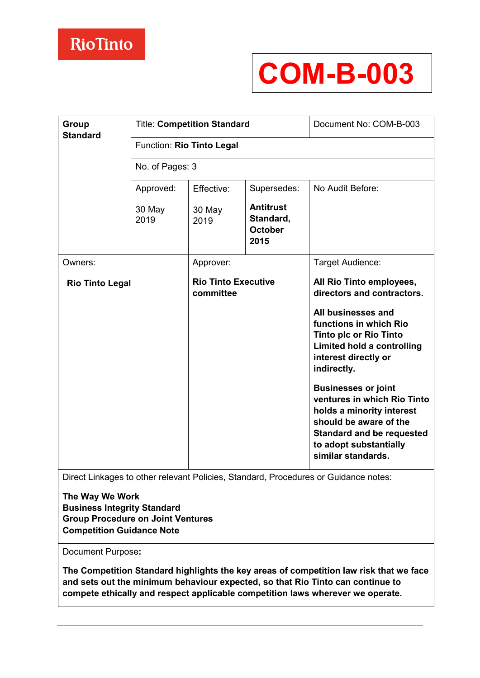# **COM-B-003**

| <b>Group</b><br><b>Standard</b> | <b>Title: Competition Standard</b> |                                         |                                                         | Document No: COM-B-003                                                                                                                                                                               |
|---------------------------------|------------------------------------|-----------------------------------------|---------------------------------------------------------|------------------------------------------------------------------------------------------------------------------------------------------------------------------------------------------------------|
|                                 | Function: Rio Tinto Legal          |                                         |                                                         |                                                                                                                                                                                                      |
|                                 | No. of Pages: 3                    |                                         |                                                         |                                                                                                                                                                                                      |
|                                 | Approved:                          | Effective:                              | Supersedes:                                             | No Audit Before:                                                                                                                                                                                     |
|                                 | 30 May<br>2019                     | 30 May<br>2019                          | <b>Antitrust</b><br>Standard,<br><b>October</b><br>2015 |                                                                                                                                                                                                      |
| Owners:                         |                                    | Approver:                               |                                                         | Target Audience:                                                                                                                                                                                     |
| <b>Rio Tinto Legal</b>          |                                    | <b>Rio Tinto Executive</b><br>committee |                                                         | All Rio Tinto employees,<br>directors and contractors.                                                                                                                                               |
|                                 |                                    |                                         |                                                         | All businesses and<br>functions in which Rio<br><b>Tinto plc or Rio Tinto</b><br>Limited hold a controlling<br>interest directly or<br>indirectly.                                                   |
|                                 |                                    |                                         |                                                         | <b>Businesses or joint</b><br>ventures in which Rio Tinto<br>holds a minority interest<br>should be aware of the<br><b>Standard and be requested</b><br>to adopt substantially<br>similar standards. |

Direct Linkages to other relevant Policies, Standard, Procedures or Guidance notes:

**The Way We Work Business Integrity Standard Group Procedure on Joint Ventures Competition Guidance Note** 

Document Purpose**:** 

**The Competition Standard highlights the key areas of competition law risk that we face and sets out the minimum behaviour expected, so that Rio Tinto can continue to compete ethically and respect applicable competition laws wherever we operate.**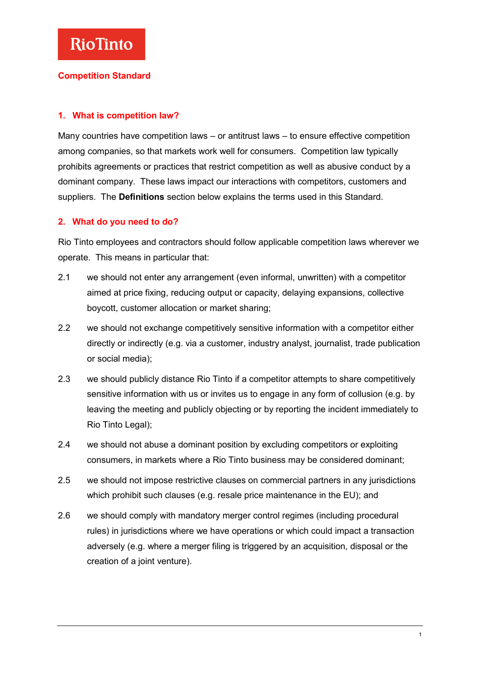### **Competition Standard**

#### **1. What is competition law?**

Many countries have competition laws – or antitrust laws – to ensure effective competition among companies, so that markets work well for consumers. Competition law typically prohibits agreements or practices that restrict competition as well as abusive conduct by a dominant company. These laws impact our interactions with competitors, customers and suppliers. The **Definitions** section below explains the terms used in this Standard.

#### **2. What do you need to do?**

Rio Tinto employees and contractors should follow applicable competition laws wherever we operate. This means in particular that:

- 2.1 we should not enter any arrangement (even informal, unwritten) with a competitor aimed at price fixing, reducing output or capacity, delaying expansions, collective boycott, customer allocation or market sharing;
- 2.2 we should not exchange competitively sensitive information with a competitor either directly or indirectly (e.g. via a customer, industry analyst, journalist, trade publication or social media);
- 2.3 we should publicly distance Rio Tinto if a competitor attempts to share competitively sensitive information with us or invites us to engage in any form of collusion (e.g. by leaving the meeting and publicly objecting or by reporting the incident immediately to Rio Tinto Legal);
- 2.4 we should not abuse a dominant position by excluding competitors or exploiting consumers, in markets where a Rio Tinto business may be considered dominant;
- 2.5 we should not impose restrictive clauses on commercial partners in any jurisdictions which prohibit such clauses (e.g. resale price maintenance in the EU); and
- 2.6 we should comply with mandatory merger control regimes (including procedural rules) in jurisdictions where we have operations or which could impact a transaction adversely (e.g. where a merger filing is triggered by an acquisition, disposal or the creation of a joint venture).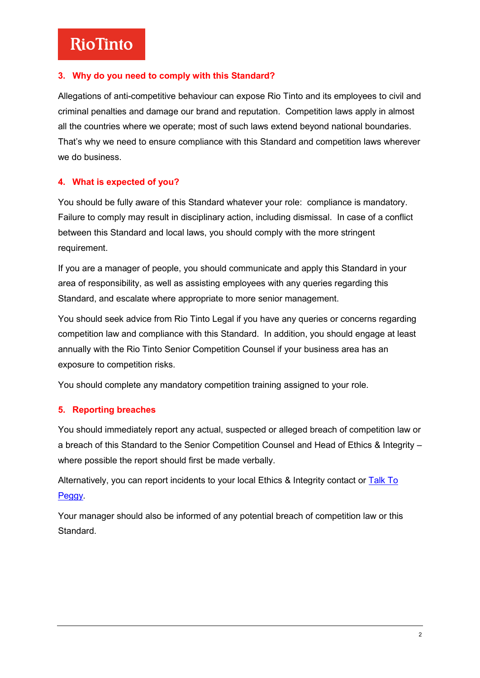# **RioTinto**

## **3. Why do you need to comply with this Standard?**

Allegations of anti-competitive behaviour can expose Rio Tinto and its employees to civil and criminal penalties and damage our brand and reputation. Competition laws apply in almost all the countries where we operate; most of such laws extend beyond national boundaries. That's why we need to ensure compliance with this Standard and competition laws wherever we do business.

## **4. What is expected of you?**

You should be fully aware of this Standard whatever your role: compliance is mandatory. Failure to comply may result in disciplinary action, including dismissal. In case of a conflict between this Standard and local laws, you should comply with the more stringent requirement.

If you are a manager of people, you should communicate and apply this Standard in your area of responsibility, as well as assisting employees with any queries regarding this Standard, and escalate where appropriate to more senior management.

You should seek advice from Rio Tinto Legal if you have any queries or concerns regarding competition law and compliance with this Standard. In addition, you should engage at least annually with the Rio Tinto Senior Competition Counsel if your business area has an exposure to competition risks.

You should complete any mandatory competition training assigned to your role.

## **5. Reporting breaches**

You should immediately report any actual, suspected or alleged breach of competition law or a breach of this Standard to the Senior Competition Counsel and Head of Ethics & Integrity – where possible the report should first be made verbally.

Alternatively, you can report incidents to your local Ethics & Integrity contact or Talk To [Peggy](http://www.talktopeggy.com/)*.* 

Your manager should also be informed of any potential breach of competition law or this Standard.